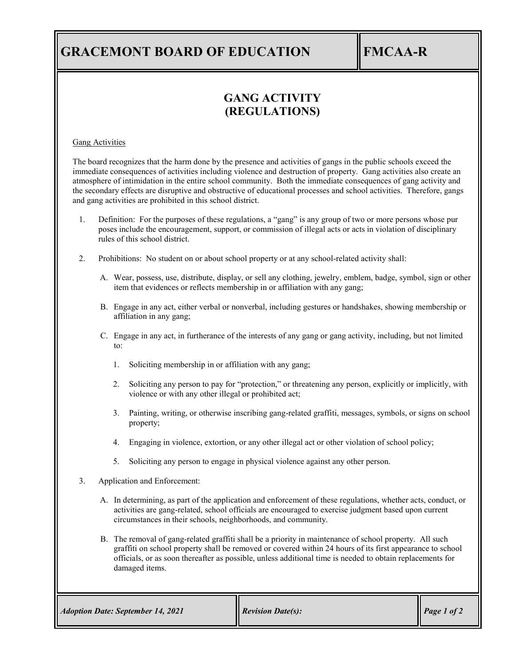# **GRACEMONT BOARD OF EDUCATION FMCAA-R**

## **GANG ACTIVITY (REGULATIONS)**

#### Gang Activities

The board recognizes that the harm done by the presence and activities of gangs in the public schools exceed the immediate consequences of activities including violence and destruction of property. Gang activities also create an atmosphere of intimidation in the entire school community. Both the immediate consequences of gang activity and the secondary effects are disruptive and obstructive of educational processes and school activities. Therefore, gangs and gang activities are prohibited in this school district.

- 1. Definition: For the purposes of these regulations, a "gang" is any group of two or more persons whose pur poses include the encouragement, support, or commission of illegal acts or acts in violation of disciplinary rules of this school district.
- 2. Prohibitions: No student on or about school property or at any school-related activity shall:
	- A. Wear, possess, use, distribute, display, or sell any clothing, jewelry, emblem, badge, symbol, sign or other item that evidences or reflects membership in or affiliation with any gang;
	- B. Engage in any act, either verbal or nonverbal, including gestures or handshakes, showing membership or affiliation in any gang;
	- C. Engage in any act, in furtherance of the interests of any gang or gang activity, including, but not limited to:
		- 1. Soliciting membership in or affiliation with any gang;
		- 2. Soliciting any person to pay for "protection," or threatening any person, explicitly or implicitly, with violence or with any other illegal or prohibited act;
		- 3. Painting, writing, or otherwise inscribing gang-related graffiti, messages, symbols, or signs on school property;
		- 4. Engaging in violence, extortion, or any other illegal act or other violation of school policy;
		- 5. Soliciting any person to engage in physical violence against any other person.
- 3. Application and Enforcement:
	- A. In determining, as part of the application and enforcement of these regulations, whether acts, conduct, or activities are gang-related, school officials are encouraged to exercise judgment based upon current circumstances in their schools, neighborhoods, and community.
	- B. The removal of gang-related graffiti shall be a priority in maintenance of school property. All such graffiti on school property shall be removed or covered within 24 hours of its first appearance to school officials, or as soon thereafter as possible, unless additional time is needed to obtain replacements for damaged items.